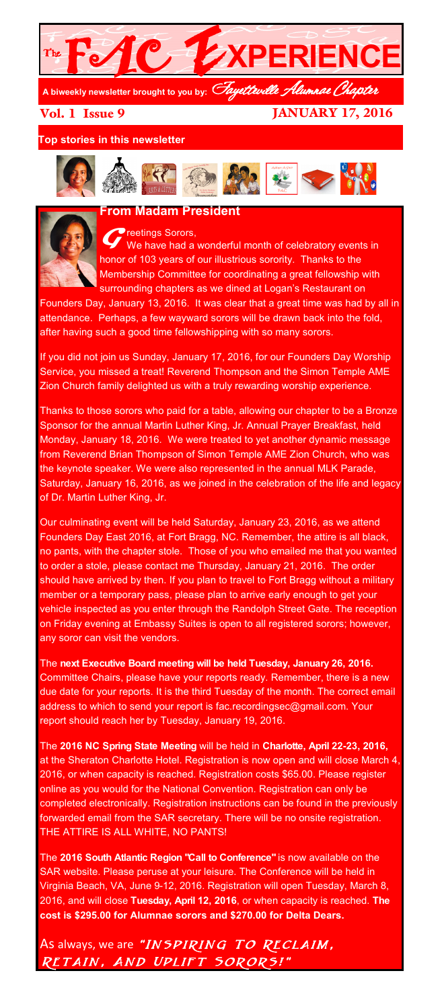

Vol. 1 Issue 9

JANUARY 17, 2016

**Top stories in this newsletter**



#### **From Madam President**



*<del>D</del>*reetings Sorors, We have had a wonderful month of celebratory events in honor of 103 years of our illustrious sorority. Thanks to the Membership Committee for coordinating a great fellowship with surrounding chapters as we dined at Logan's Restaurant on

Founders Day, January 13, 2016. It was clear that a great time was had by all in attendance. Perhaps, a few wayward sorors will be drawn back into the fold, after having such a good time fellowshipping with so many sorors.

If you did not join us Sunday, January 17, 2016, for our Founders Day Worship Service, you missed a treat! Reverend Thompson and the Simon Temple AME Zion Church family delighted us with a truly rewarding worship experience.

Thanks to those sorors who paid for a table, allowing our chapter to be a Bronze Sponsor for the annual Martin Luther King, Jr. Annual Prayer Breakfast, held Monday, January 18, 2016. We were treated to yet another dynamic message from Reverend Brian Thompson of Simon Temple AME Zion Church, who was the keynote speaker. We were also represented in the annual MLK Parade, Saturday, January 16, 2016, as we joined in the celebration of the life and legacy of Dr. Martin Luther King, Jr.

Our culminating event will be held Saturday, January 23, 2016, as we attend Founders Day East 2016, at Fort Bragg, NC. Remember, the attire is all black, no pants, with the chapter stole. Those of you who emailed me that you wanted to order a stole, please contact me Thursday, January 21, 2016. The order should have arrived by then. If you plan to travel to Fort Bragg without a military member or a temporary pass, please plan to arrive early enough to get your vehicle inspected as you enter through the Randolph Street Gate. The reception on Friday evening at Embassy Suites is open to all registered sorors; however, any soror can visit the vendors.

The **next Executive Board meeting will be held Tuesday, January 26, 2016.** Committee Chairs, please have your reports ready. Remember, there is a new due date for your reports. It is the third Tuesday of the month. The correct email address to which to send your report is fac.recordingsec@gmail.com. Your report should reach her by Tuesday, January 19, 2016.

The **2016 NC Spring State Meeting** will be held in **Charlotte, April 22-23, 2016,**  at the Sheraton Charlotte Hotel. Registration is now open and will close March 4, 2016, or when capacity is reached. Registration costs \$65.00. Please register online as you would for the National Convention. Registration can only be completed electronically. Registration instructions can be found in the previously forwarded email from the SAR secretary. There will be no onsite registration. THE ATTIRE IS ALL WHITE, NO PANTS!

The **2016 South Atlantic Region "Call to Conference"** is now available on the SAR website. Please peruse at your leisure. The Conference will be held in Virginia Beach, VA, June 9-12, 2016. Registration will open Tuesday, March 8, 2016, and will close **Tuesday, April 12, 2016**, or when capacity is reached. **The cost is \$295.00 for Alumnae sorors and \$270.00 for Delta Dears.**

As always, we are "INSPIRING TO RECLAIM, Retain, And Uplift Sorors!"